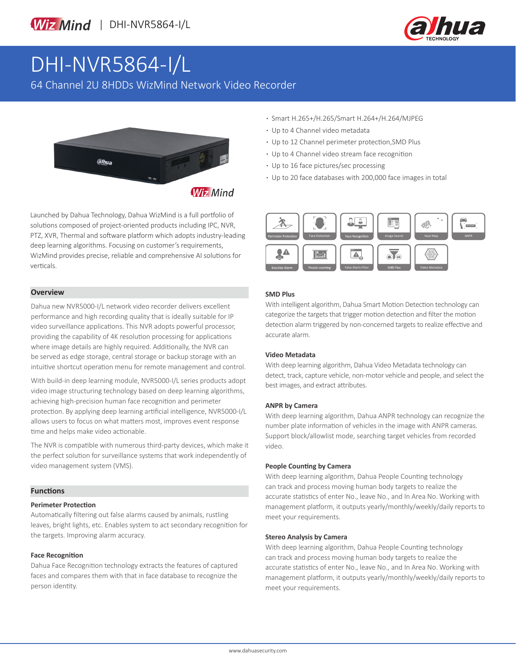

# DHI-NVR5864-I/L

64 Channel 2U 8HDDs WizMind Network Video Recorder



Launched by Dahua Technology, Dahua WizMind is a full portfolio of solutions composed of project-oriented products including IPC, NVR, PTZ, XVR, Thermal and software platform which adopts industry-leading deep learning algorithms. Focusing on customer's requirements, WizMind provides precise, reliable and comprehensive AI solutions for verticals.

#### **Overview**

Dahua new NVR5000-I/L network video recorder delivers excellent performance and high recording quality that is ideally suitable for IP video surveillance applications. This NVR adopts powerful processor, providing the capability of 4K resolution processing for applications where image details are highly required. Additionally, the NVR can be served as edge storage, central storage or backup storage with an intuitive shortcut operation menu for remote management and control.

With build-in deep learning module, NVR5000-I/L series products adopt video image structuring technology based on deep learning algorithms, achieving high-precision human face recognition and perimeter protection. By applying deep learning artificial intelligence, NVR5000-I/L allows users to focus on what matters most, improves event response time and helps make video actionable.

The NVR is compatible with numerous third-party devices, which make it the perfect solution for surveillance systems that work independently of video management system (VMS).

#### **Functions**

#### **Perimeter Protection**

Automatically filtering out false alarms caused by animals, rustling leaves, bright lights, etc. Enables system to act secondary recognition for the targets. Improving alarm accuracy.

#### **Face Recognition**

Dahua Face Recognition technology extracts the features of captured faces and compares them with that in face database to recognize the person identity.

- **·** Smart H.265+/H.265/Smart H.264+/H.264/MJPEG
- **·** Up to 4 Channel video metadata
- **·** Up to 12 Channel perimeter protection,SMD Plus
- **·** Up to 4 Channel video stream face recognition
- **·** Up to 16 face pictures/sec processing
- **·** Up to 20 face databases with 200,000 face images in total



#### **SMD Plus**

With intelligent algorithm, Dahua Smart Motion Detection technology can categorize the targets that trigger motion detection and filter the motion detection alarm triggered by non-concerned targets to realize effective and accurate alarm.

#### **Video Metadata**

With deep learning algorithm, Dahua Video Metadata technology can detect, track, capture vehicle, non-motor vehicle and people, and select the best images, and extract attributes.

#### **ANPR by Camera**

With deep learning algorithm, Dahua ANPR technology can recognize the number plate information of vehicles in the image with ANPR cameras. Support block/allowlist mode, searching target vehicles from recorded video.

#### **People Counting by Camera**

With deep learning algorithm, Dahua People Counting technology can track and process moving human body targets to realize the accurate statistics of enter No., leave No., and In Area No. Working with management platform, it outputs yearly/monthly/weekly/daily reports to meet your requirements.

#### **Stereo Analysis by Camera**

With deep learning algorithm, Dahua People Counting technology can track and process moving human body targets to realize the accurate statistics of enter No., leave No., and In Area No. Working with management platform, it outputs yearly/monthly/weekly/daily reports to meet your requirements.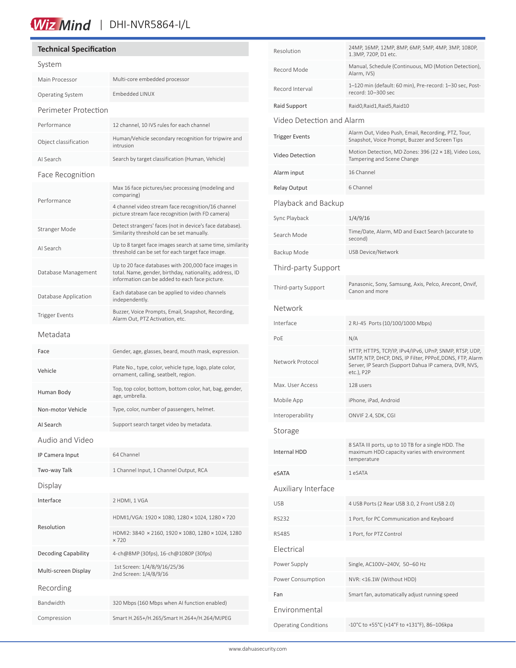# Wiz Mind | DHI-NVR5864-I/L

### **Technical Specification**

| System                     |                                                                                                                                                                  |  |  |  |
|----------------------------|------------------------------------------------------------------------------------------------------------------------------------------------------------------|--|--|--|
| Main Processor             | Multi-core embedded processor                                                                                                                                    |  |  |  |
| Operating System           | <b>Embedded LINUX</b>                                                                                                                                            |  |  |  |
| Perimeter Protection       |                                                                                                                                                                  |  |  |  |
| Performance                | 12 channel, 10 IVS rules for each channel                                                                                                                        |  |  |  |
| Object classification      | Human/Vehicle secondary recognition for tripwire and<br>intrusion                                                                                                |  |  |  |
| AI Search                  | Search by target classification (Human, Vehicle)                                                                                                                 |  |  |  |
| Face Recognition           |                                                                                                                                                                  |  |  |  |
| Performance                | Max 16 face pictures/sec processing (modeling and<br>comparing)                                                                                                  |  |  |  |
|                            | 4 channel video stream face recognition/16 channel<br>picture stream face recognition (with FD camera)                                                           |  |  |  |
| Stranger Mode              | Detect strangers' faces (not in device's face database).<br>Similarity threshold can be set manually.                                                            |  |  |  |
| AI Search                  | Up to 8 target face images search at same time, similarity<br>threshold can be set for each target face image.                                                   |  |  |  |
| Database Management        | Up to 20 face databases with 200,000 face images in<br>total. Name, gender, birthday, nationality, address, ID<br>information can be added to each face picture. |  |  |  |
| Database Application       | Each database can be applied to video channels<br>independently.                                                                                                 |  |  |  |
| <b>Trigger Events</b>      | Buzzer, Voice Prompts, Email, Snapshot, Recording,<br>Alarm Out, PTZ Activation, etc.                                                                            |  |  |  |
| Metadata                   |                                                                                                                                                                  |  |  |  |
| Face                       | Gender, age, glasses, beard, mouth mask, expression.                                                                                                             |  |  |  |
| Vehicle                    | Plate No., type, color, vehicle type, logo, plate color,<br>ornament, calling, seatbelt, region.                                                                 |  |  |  |
| Human Body                 | Top, top color, bottom, bottom color, hat, bag, gender,<br>age, umbrella.                                                                                        |  |  |  |
| Non-motor Vehicle          | Type, color, number of passengers, helmet.                                                                                                                       |  |  |  |
| AI Search                  | Support search target video by metadata.                                                                                                                         |  |  |  |
| Audio and Video            |                                                                                                                                                                  |  |  |  |
| IP Camera Input            | 64 Channel                                                                                                                                                       |  |  |  |
| Two-way Talk               | 1 Channel Input, 1 Channel Output, RCA                                                                                                                           |  |  |  |
| Display                    |                                                                                                                                                                  |  |  |  |
| Interface                  | 2 HDMI, 1 VGA                                                                                                                                                    |  |  |  |
| Resolution                 | HDMI1/VGA: 1920 × 1080, 1280 × 1024, 1280 × 720                                                                                                                  |  |  |  |
|                            | HDMI2: 3840 × 2160, 1920 × 1080, 1280 × 1024, 1280<br>$\times 720$                                                                                               |  |  |  |
| <b>Decoding Capability</b> | 4-ch@8MP (30fps), 16-ch@1080P (30fps)                                                                                                                            |  |  |  |
| Multi-screen Display       | 1st Screen: 1/4/8/9/16/25/36<br>2nd Screen: 1/4/8/9/16                                                                                                           |  |  |  |
| Recording                  |                                                                                                                                                                  |  |  |  |
| Bandwidth                  | 320 Mbps (160 Mbps when AI function enabled)                                                                                                                     |  |  |  |
| Compression                | Smart H.265+/H.265/Smart H.264+/H.264/MJPEG                                                                                                                      |  |  |  |

| Resolution                  | 24MP, 16MP, 12MP, 8MP, 6MP, 5MP, 4MP, 3MP, 1080P,                                                                                                                                         |  |  |  |
|-----------------------------|-------------------------------------------------------------------------------------------------------------------------------------------------------------------------------------------|--|--|--|
| Record Mode                 | 1.3MP, 720P, D1 etc.<br>Manual, Schedule (Continuous, MD (Motion Detection),                                                                                                              |  |  |  |
| Record Interval             | Alarm, IVS)<br>1-120 min (default: 60 min), Pre-record: 1-30 sec, Post-                                                                                                                   |  |  |  |
|                             | record: 10-300 sec                                                                                                                                                                        |  |  |  |
| Raid Support                | Raid0, Raid1, Raid5, Raid10                                                                                                                                                               |  |  |  |
| Video Detection and Alarm   |                                                                                                                                                                                           |  |  |  |
| <b>Trigger Events</b>       | Alarm Out, Video Push, Email, Recording, PTZ, Tour,<br>Snapshot, Voice Prompt, Buzzer and Screen Tips                                                                                     |  |  |  |
| <b>Video Detection</b>      | Motion Detection, MD Zones: 396 (22 × 18), Video Loss,<br>Tampering and Scene Change                                                                                                      |  |  |  |
| Alarm input                 | 16 Channel                                                                                                                                                                                |  |  |  |
| Relay Output                | 6 Channel                                                                                                                                                                                 |  |  |  |
| Playback and Backup         |                                                                                                                                                                                           |  |  |  |
| Sync Playback               | 1/4/9/16                                                                                                                                                                                  |  |  |  |
| Search Mode                 | Time/Date, Alarm, MD and Exact Search (accurate to<br>second)                                                                                                                             |  |  |  |
| Backup Mode                 | <b>USB Device/Network</b>                                                                                                                                                                 |  |  |  |
| Third-party Support         |                                                                                                                                                                                           |  |  |  |
| Third-party Support         | Panasonic, Sony, Samsung, Axis, Pelco, Arecont, Onvif,<br>Canon and more                                                                                                                  |  |  |  |
| Network                     |                                                                                                                                                                                           |  |  |  |
| Interface                   | 2 RJ-45 Ports (10/100/1000 Mbps)                                                                                                                                                          |  |  |  |
| PoE                         | N/A                                                                                                                                                                                       |  |  |  |
| Network Protocol            | HTTP, HTTPS, TCP/IP, IPv4/IPv6, UPnP, SNMP, RTSP, UDP,<br>SMTP, NTP, DHCP, DNS, IP Filter, PPPoE, DDNS, FTP, Alarm<br>Server, IP Search (Support Dahua IP camera, DVR, NVS,<br>etc.), P2P |  |  |  |
| Max. User Access            | 128 users                                                                                                                                                                                 |  |  |  |
| Mobile App                  | iPhone, iPad, Android                                                                                                                                                                     |  |  |  |
| Interoperability            | ONVIF 2.4, SDK, CGI                                                                                                                                                                       |  |  |  |
| Storage                     |                                                                                                                                                                                           |  |  |  |
| <b>Internal HDD</b>         | 8 SATA III ports, up to 10 TB for a single HDD. The<br>maximum HDD capacity varies with environment<br>temperature                                                                        |  |  |  |
| eSATA                       | 1 eSATA                                                                                                                                                                                   |  |  |  |
| Auxiliary Interface         |                                                                                                                                                                                           |  |  |  |
| <b>USB</b>                  | 4 USB Ports (2 Rear USB 3.0, 2 Front USB 2.0)                                                                                                                                             |  |  |  |
| <b>RS232</b>                | 1 Port, for PC Communication and Keyboard                                                                                                                                                 |  |  |  |
| <b>RS485</b>                | 1 Port, for PTZ Control                                                                                                                                                                   |  |  |  |
| Electrical                  |                                                                                                                                                                                           |  |  |  |
| Power Supply                | Single, AC100V-240V, 50-60 Hz                                                                                                                                                             |  |  |  |
| Power Consumption           | NVR: <16.1W (Without HDD)                                                                                                                                                                 |  |  |  |
| Fan                         | Smart fan, automatically adjust running speed                                                                                                                                             |  |  |  |
| Environmental               |                                                                                                                                                                                           |  |  |  |
| <b>Operating Conditions</b> | -10°C to +55°C (+14°F to +131°F), 86-106kpa                                                                                                                                               |  |  |  |